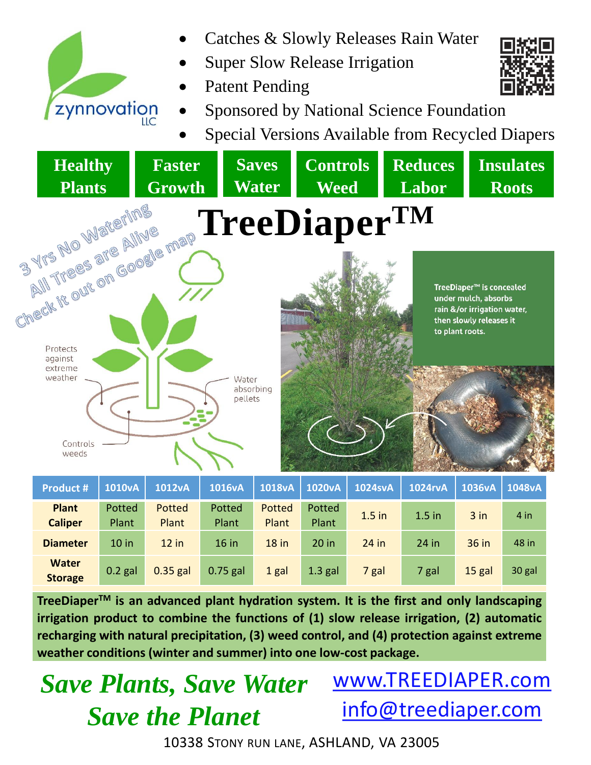

- Catches & Slowly Releases Rain Water
- Super Slow Release Irrigation
- Patent Pending



Special Versions Available from Recycled Diapers



| <b>Product #</b>               | <b>1010vA</b> | <b>1012vA</b> | <b>1016vA</b> | 1018vA  | <b>1020vA</b> | <b>1024svA</b> | <b>1024rvA</b> | 1036vA   | 1048vA |
|--------------------------------|---------------|---------------|---------------|---------|---------------|----------------|----------------|----------|--------|
| <b>Plant</b>                   | Potted        | Potted        | Potted        | Potted  | Potted        | $1.5$ in       | $1.5$ in       | $3$ in   | 4 in   |
| <b>Caliper</b>                 | Plant         | Plant         | Plant         | Plant   | Plant         |                |                |          |        |
| <b>Diameter</b>                | $10$ in       | $12$ in       | $16$ in       | $18$ in | $20$ in       | $24$ in        | $24$ in        | $36$ in  | 48 in  |
| <b>Water</b><br><b>Storage</b> | $0.2$ gal     | $0.35$ gal    | $0.75$ gal    | 1 gal   | $1.3$ gal     | 7 gal          | 7 gal          | $15$ gal | 30 gal |

**TreeDiaperTM is an advanced plant hydration system. It is the first and only landscaping irrigation product to combine the functions of (1) slow release irrigation, (2) automatic recharging with natural precipitation, (3) weed control, and (4) protection against extreme weather conditions (winter and summer) into one low-cost package.**

## *Save Plants, Save Water Save the Planet*

www.TREEDIAPER.com info@treediaper.com

10338 STONY RUN LANE, ASHLAND, VA 23005